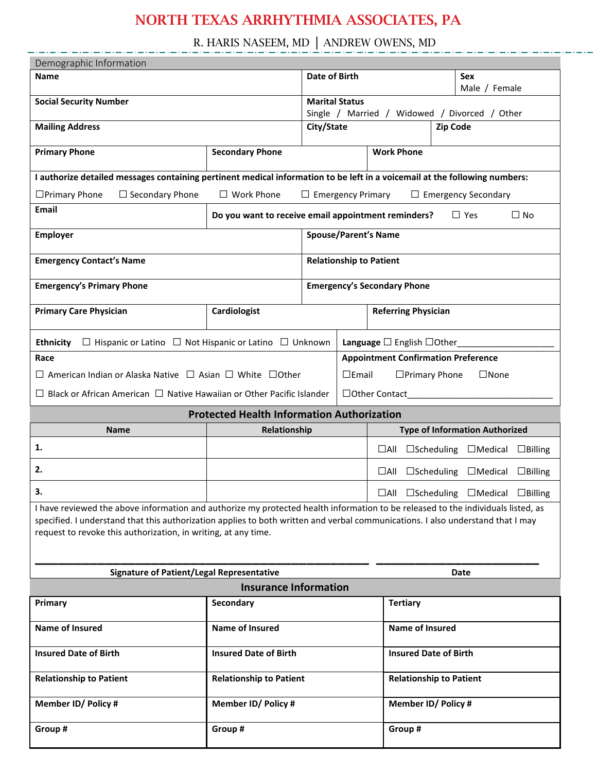R. HARIS NASEEM, MD │ ANDREW OWENS, MD

| Demographic Information                                                                                                                                                                                                                                                                                                               |                                                   |                                                                                |                                            |                                    |                                                               |  |  |
|---------------------------------------------------------------------------------------------------------------------------------------------------------------------------------------------------------------------------------------------------------------------------------------------------------------------------------------|---------------------------------------------------|--------------------------------------------------------------------------------|--------------------------------------------|------------------------------------|---------------------------------------------------------------|--|--|
| <b>Name</b>                                                                                                                                                                                                                                                                                                                           |                                                   |                                                                                | Date of Birth                              |                                    | Sex                                                           |  |  |
| <b>Social Security Number</b>                                                                                                                                                                                                                                                                                                         |                                                   | <b>Marital Status</b>                                                          |                                            |                                    | Male / Female                                                 |  |  |
|                                                                                                                                                                                                                                                                                                                                       |                                                   |                                                                                |                                            |                                    | Single / Married / Widowed / Divorced / Other                 |  |  |
| <b>Mailing Address</b>                                                                                                                                                                                                                                                                                                                |                                                   | City/State                                                                     |                                            |                                    | <b>Zip Code</b>                                               |  |  |
| <b>Primary Phone</b>                                                                                                                                                                                                                                                                                                                  | <b>Secondary Phone</b>                            | <b>Work Phone</b>                                                              |                                            |                                    |                                                               |  |  |
| I authorize detailed messages containing pertinent medical information to be left in a voicemail at the following numbers:                                                                                                                                                                                                            |                                                   |                                                                                |                                            |                                    |                                                               |  |  |
| $\Box$ Primary Phone<br>$\Box$ Secondary Phone<br>$\Box$ Work Phone<br>$\Box$ Emergency Primary<br>$\Box$ Emergency Secondary                                                                                                                                                                                                         |                                                   |                                                                                |                                            |                                    |                                                               |  |  |
| Email                                                                                                                                                                                                                                                                                                                                 |                                                   | Do you want to receive email appointment reminders?<br>$\Box$ Yes<br>$\Box$ No |                                            |                                    |                                                               |  |  |
| <b>Employer</b>                                                                                                                                                                                                                                                                                                                       | <b>Spouse/Parent's Name</b>                       |                                                                                |                                            |                                    |                                                               |  |  |
| <b>Emergency Contact's Name</b>                                                                                                                                                                                                                                                                                                       |                                                   | <b>Relationship to Patient</b>                                                 |                                            |                                    |                                                               |  |  |
| <b>Emergency's Primary Phone</b>                                                                                                                                                                                                                                                                                                      |                                                   |                                                                                |                                            | <b>Emergency's Secondary Phone</b> |                                                               |  |  |
| <b>Primary Care Physician</b>                                                                                                                                                                                                                                                                                                         | Cardiologist                                      | <b>Referring Physician</b>                                                     |                                            |                                    |                                                               |  |  |
| $\Box$ Hispanic or Latino $\Box$ Not Hispanic or Latino $\Box$ Unknown<br><b>Ethnicity</b>                                                                                                                                                                                                                                            |                                                   | Language $\square$ English $\square$ Other                                     |                                            |                                    |                                                               |  |  |
| Race                                                                                                                                                                                                                                                                                                                                  |                                                   |                                                                                | <b>Appointment Confirmation Preference</b> |                                    |                                                               |  |  |
| $\Box$ American Indian or Alaska Native $\Box$ Asian $\Box$ White $\Box$ Other                                                                                                                                                                                                                                                        |                                                   | $\square$ Email<br>$\Box$ Primary Phone<br>$\Box$ None                         |                                            |                                    |                                                               |  |  |
| $\Box$ Black or African American $\Box$ Native Hawaiian or Other Pacific Islander                                                                                                                                                                                                                                                     |                                                   |                                                                                | □Other Contact_____                        |                                    |                                                               |  |  |
|                                                                                                                                                                                                                                                                                                                                       | <b>Protected Health Information Authorization</b> |                                                                                |                                            |                                    |                                                               |  |  |
| Name                                                                                                                                                                                                                                                                                                                                  | Relationship                                      |                                                                                |                                            |                                    | <b>Type of Information Authorized</b>                         |  |  |
| 1.                                                                                                                                                                                                                                                                                                                                    |                                                   |                                                                                |                                            |                                    | $\Box$ All $\Box$ Scheduling $\Box$ Medical<br>$\Box$ Billing |  |  |
| 2.                                                                                                                                                                                                                                                                                                                                    |                                                   |                                                                                |                                            | $\Box$ All                         | $\square$ Scheduling $\square$ Medical<br>$\Box$ Billing      |  |  |
| 3.                                                                                                                                                                                                                                                                                                                                    | $\Box$ All $\Box$ Scheduling $\Box$ Medical       |                                                                                |                                            |                                    | $\Box$ Billing                                                |  |  |
| I have reviewed the above information and authorize my protected health information to be released to the individuals listed, as<br>specified. I understand that this authorization applies to both written and verbal communications. I also understand that I may<br>request to revoke this authorization, in writing, at any time. |                                                   |                                                                                |                                            |                                    |                                                               |  |  |
| <b>Signature of Patient/Legal Representative</b><br><b>Date</b>                                                                                                                                                                                                                                                                       |                                                   |                                                                                |                                            |                                    |                                                               |  |  |
| <b>Insurance Information</b>                                                                                                                                                                                                                                                                                                          |                                                   |                                                                                |                                            |                                    |                                                               |  |  |
| Primary                                                                                                                                                                                                                                                                                                                               | Secondary                                         |                                                                                |                                            | <b>Tertiary</b>                    |                                                               |  |  |
| Name of Insured                                                                                                                                                                                                                                                                                                                       | <b>Name of Insured</b>                            |                                                                                | <b>Name of Insured</b>                     |                                    |                                                               |  |  |
| <b>Insured Date of Birth</b>                                                                                                                                                                                                                                                                                                          | <b>Insured Date of Birth</b>                      |                                                                                | <b>Insured Date of Birth</b>               |                                    |                                                               |  |  |
| <b>Relationship to Patient</b>                                                                                                                                                                                                                                                                                                        | <b>Relationship to Patient</b>                    |                                                                                | <b>Relationship to Patient</b>             |                                    |                                                               |  |  |
| Member ID/ Policy #                                                                                                                                                                                                                                                                                                                   | Member ID/ Policy #                               |                                                                                | <b>Member ID/ Policy #</b>                 |                                    |                                                               |  |  |
| Group #                                                                                                                                                                                                                                                                                                                               | Group #                                           |                                                                                | Group #                                    |                                    |                                                               |  |  |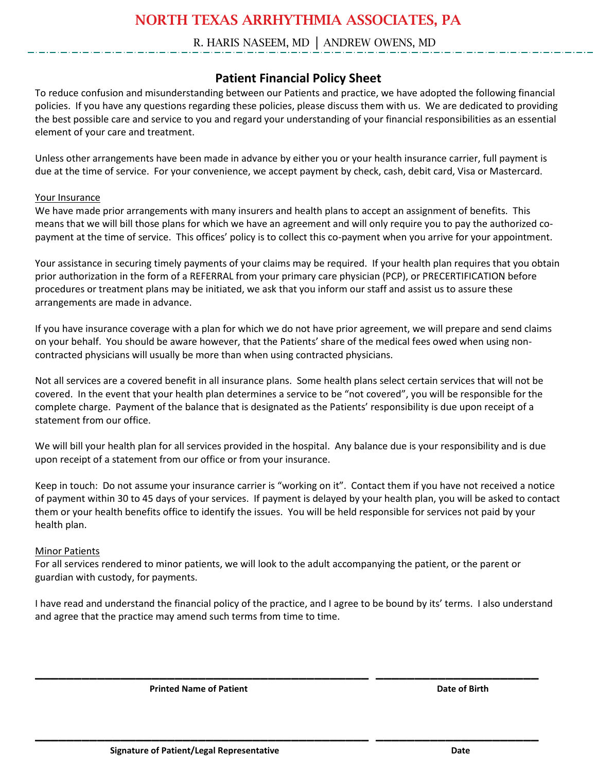#### R. HARIS NASEEM, MD │ ANDREW OWENS, MD

#### **Patient Financial Policy Sheet**

To reduce confusion and misunderstanding between our Patients and practice, we have adopted the following financial policies. If you have any questions regarding these policies, please discuss them with us. We are dedicated to providing the best possible care and service to you and regard your understanding of your financial responsibilities as an essential element of your care and treatment.

Unless other arrangements have been made in advance by either you or your health insurance carrier, full payment is due at the time of service. For your convenience, we accept payment by check, cash, debit card, Visa or Mastercard.

#### Your Insurance

We have made prior arrangements with many insurers and health plans to accept an assignment of benefits. This means that we will bill those plans for which we have an agreement and will only require you to pay the authorized copayment at the time of service. This offices' policy is to collect this co-payment when you arrive for your appointment.

Your assistance in securing timely payments of your claims may be required. If your health plan requires that you obtain prior authorization in the form of a REFERRAL from your primary care physician (PCP), or PRECERTIFICATION before procedures or treatment plans may be initiated, we ask that you inform our staff and assist us to assure these arrangements are made in advance.

If you have insurance coverage with a plan for which we do not have prior agreement, we will prepare and send claims on your behalf. You should be aware however, that the Patients' share of the medical fees owed when using noncontracted physicians will usually be more than when using contracted physicians.

Not all services are a covered benefit in all insurance plans. Some health plans select certain services that will not be covered. In the event that your health plan determines a service to be "not covered", you will be responsible for the complete charge. Payment of the balance that is designated as the Patients' responsibility is due upon receipt of a statement from our office.

We will bill your health plan for all services provided in the hospital. Any balance due is your responsibility and is due upon receipt of a statement from our office or from your insurance.

Keep in touch: Do not assume your insurance carrier is "working on it". Contact them if you have not received a notice of payment within 30 to 45 days of your services. If payment is delayed by your health plan, you will be asked to contact them or your health benefits office to identify the issues. You will be held responsible for services not paid by your health plan.

#### Minor Patients

For all services rendered to minor patients, we will look to the adult accompanying the patient, or the parent or guardian with custody, for payments.

I have read and understand the financial policy of the practice, and I agree to be bound by its' terms. I also understand and agree that the practice may amend such terms from time to time.

**\_\_\_\_\_\_\_\_\_\_\_\_\_\_\_\_\_\_\_\_\_\_\_\_\_\_\_\_\_\_\_\_\_\_\_\_\_\_\_\_\_\_\_ \_\_\_\_\_\_\_\_\_\_\_\_\_\_\_\_\_\_\_\_\_**

**\_\_\_\_\_\_\_\_\_\_\_\_\_\_\_\_\_\_\_\_\_\_\_\_\_\_\_\_\_\_\_\_\_\_\_\_\_\_\_\_\_\_\_ \_\_\_\_\_\_\_\_\_\_\_\_\_\_\_\_\_\_\_\_\_**

**Printed Name of Patient Community Community Community Community Community Community Community Community Community Community Community Community Community Community Community Community Community Community Community Communi**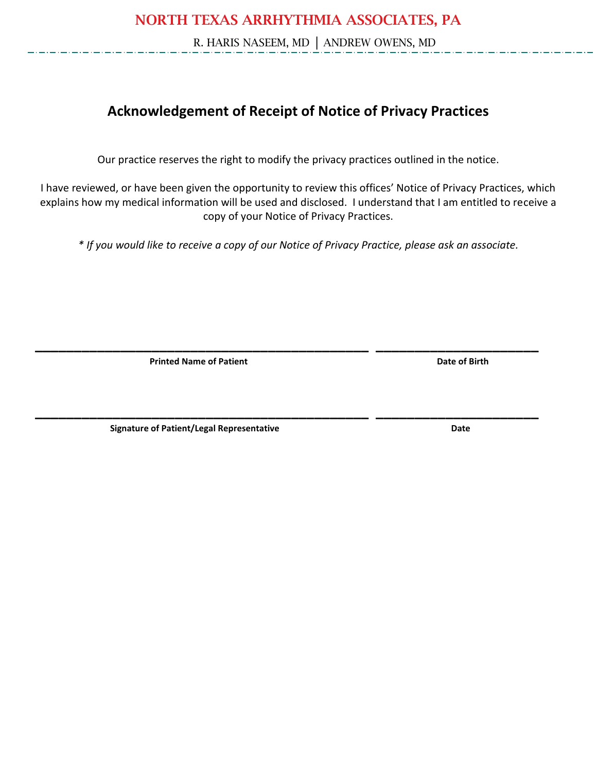R. HARIS NASEEM, MD │ ANDREW OWENS, MD

## **Acknowledgement of Receipt of Notice of Privacy Practices**

Our practice reserves the right to modify the privacy practices outlined in the notice.

I have reviewed, or have been given the opportunity to review this offices' Notice of Privacy Practices, which explains how my medical information will be used and disclosed. I understand that I am entitled to receive a copy of your Notice of Privacy Practices.

*\* If you would like to receive a copy of our Notice of Privacy Practice, please ask an associate.* 

**\_\_\_\_\_\_\_\_\_\_\_\_\_\_\_\_\_\_\_\_\_\_\_\_\_\_\_\_\_\_\_\_\_\_\_\_\_\_\_\_\_\_\_ \_\_\_\_\_\_\_\_\_\_\_\_\_\_\_\_\_\_\_\_\_**

**\_\_\_\_\_\_\_\_\_\_\_\_\_\_\_\_\_\_\_\_\_\_\_\_\_\_\_\_\_\_\_\_\_\_\_\_\_\_\_\_\_\_\_ \_\_\_\_\_\_\_\_\_\_\_\_\_\_\_\_\_\_\_\_\_**

**Printed Name of Patient Community Community Community Community Community Community Community Community Community** 

**Signature of Patient/Legal Representative Community Community Community Community Community Community Community**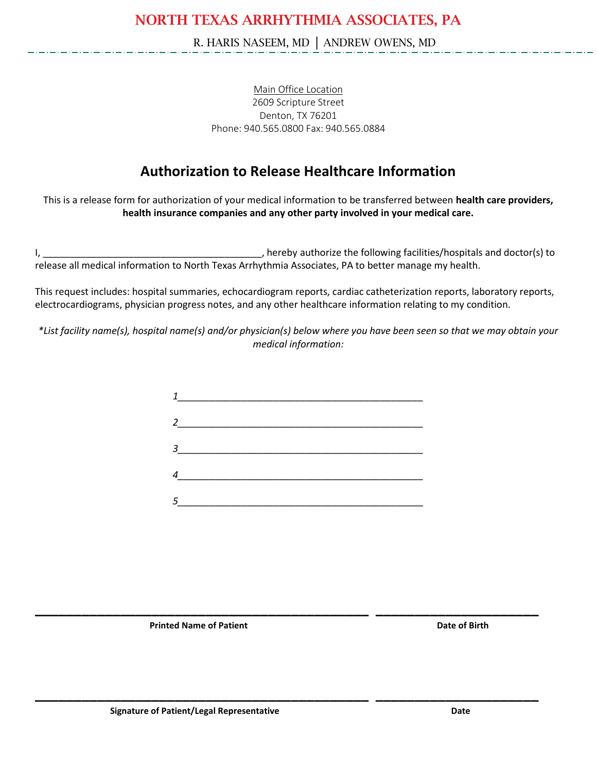R. HARIS NASEEM, MD │ ANDREW OWENS, MD

Main Office Location 2609 Scripture Street Denton, TX 76201 Phone: 940.565.0800 Fax: 940.565.0884

### **Authorization to Release Healthcare Information**

This is a release form for authorization of your medical information to be transferred between **health care providers, health insurance companies and any other party involved in your medical care.**

I, \_\_\_\_\_\_\_\_\_\_\_\_\_\_\_\_\_\_\_\_\_\_\_\_\_\_\_\_\_\_\_\_\_\_\_\_\_\_\_\_\_, hereby authorize the following facilities/hospitals and doctor(s) to release all medical information to North Texas Arrhythmia Associates, PA to better manage my health.

This request includes: hospital summaries, echocardiogram reports, cardiac catheterization reports, laboratory reports, electrocardiograms, physician progress notes, and any other healthcare information relating to my condition.

*\*List facility name(s), hospital name(s) and/or physician(s) below where you have been seen so that we may obtain your medical information:*



**\_\_\_\_\_\_\_\_\_\_\_\_\_\_\_\_\_\_\_\_\_\_\_\_\_\_\_\_\_\_\_\_\_\_\_\_\_\_\_\_\_\_\_ \_\_\_\_\_\_\_\_\_\_\_\_\_\_\_\_\_\_\_\_\_**

**\_\_\_\_\_\_\_\_\_\_\_\_\_\_\_\_\_\_\_\_\_\_\_\_\_\_\_\_\_\_\_\_\_\_\_\_\_\_\_\_\_\_\_ \_\_\_\_\_\_\_\_\_\_\_\_\_\_\_\_\_\_\_\_\_**

**Printed Name of Patient Community Community Community Community Community Community Community Community Community**